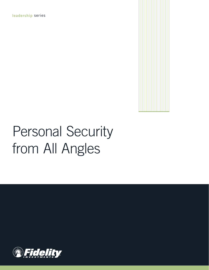**leadership** series



# Personal Security from All Angles

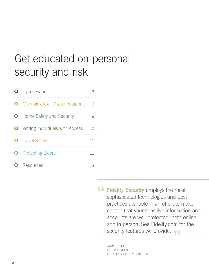# Get educated on personal security and risk

| <b>Cyber Fraud</b>              |    |  |
|---------------------------------|----|--|
| Managing Your Digital Footprint | 6  |  |
| Home Safety and Security        | 8  |  |
| Vetting Individuals with Access | 10 |  |
| <b>Travel Safety</b>            | 11 |  |
| <b>Protecting Elders</b>        | 12 |  |
| Resources                       | 13 |  |

**" Fidelity Security** employs the most sophisticated technologies and best practices available in an effort to make certain that your sensitive information and accounts are well protected, both online and in person. See Fidelity.com for the security features we provide.

GARY ROSSI VICE PRESIDENT FIDELITY SECURITY SERVICES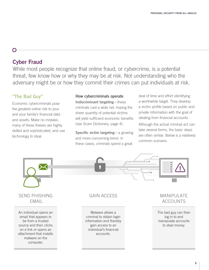# **Cyber Fraud**

O

While most people recognize that online fraud, or cybercrime, is a potential threat, few know how or why they may be at risk. Not understanding who the adversary might be or how they commit their crimes can put individuals at risk.

# **"The Bad Guy"**

Economic cybercriminals pose the greatest online risk to your and your family's financial data and assets. Make no mistake; many of these thieves are highly skilled and sophisticated, and use technology to steal.

## **How cybercriminals operate**

**Indiscriminant targeting**—these criminals cast a wide net, hoping the sheer quantity of potential victims will yield sufficient economic benefits (see Scam Dictionary, page 4).

**Specific victim targeting**—a growing and more-concerning trend. In these cases, criminals spend a great

deal of time and effort identifying a worthwhile target. They develop a victim profile based on public and private information with the goal of stealing from financial accounts.

Although the actual criminal act can take several forms, the basic steps are often similar. Below is a relatively common scenario.



#### **3**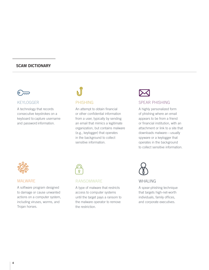### **SCAM DICTIONARY**

### KEYLOGGER

A technology that records consecutive keystrokes on a keyboard to capture username and password information.

## PHISHING

An attempt to obtain financial or other confidential information from a user, typically by sending an email that mimics a legitimate organization, but contains malware (e.g., keylogger) that operates in the background to collect sensitive information.



## SPEAR PHISHING

A highly personalized form of phishing where an email appears to be from a friend or financial institution, with an attachment or link to a site that downloads malware—usually spyware or a keylogger that operates in the background to collect sensitive information.



#### MALWARE

A software program designed to damage or cause unwanted actions on a computer system, including viruses, worms, and Trojan horses.



#### RANSOMWARE

A type of malware that restricts access to computer systems until the target pays a ransom to the malware operator to remove the restriction.



#### WHAI ING

A spear-phishing technique that targets high-net-worth individuals, family offices, and corporate executives.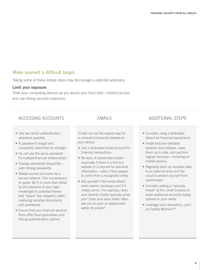# **Make yourself a difficult target**

Taking some of these simple steps may discourage a potential adversary.

#### **Limit your exposure**

Treat your computing devices as you would your front door—restrict access and use strong security measures.

# ACCESSING ACCOUNTS EMAILS ADDITIONAL STEPS

- Use two-factor authentication whenever possible.
- A password's length and complexity determine its strength.
- Do not use the same password formultiple financial relationships.
- Change passwords frequently even strong passwords.
- Always access accounts via a secure network. The convenience of public Wi-Fi is more than offset by the exposure of your login credentials to potential thieves that "hijack" the network's traffic, capturing sensitive documents and passwords.
- Ensure that your financial services firms offer fraud guarantees and strong authentication options.

Emails can be the easiest way for a criminal to transmit malware to your device.

- Use a dedicated email account for financial transactions.
- Be wary of unsolicited emails especially if there is a link to a website or a request for personal information—even if they appear to come from a recognized entity.
- Ask yourself if the email attachment seems necessary and if it makes sense. For example, does your favorite charity typically email you? Does your alma mater often ask you to open an attachment within its emails?

- Consider using a dedicated device for financial transactions.
- Install industry-standard systems and software, keep them up to date, and perform regular backups—including on mobile devices.
- Regularly back up sensitive data to an external drive and the cloud to protect yourself from ransomware.
- Consider adding a "security freeze" at the credit bureaus to avoid additional accounts being opened in your name.
- Leverage voice biometrics, such as Fidelity MyVoiceSM.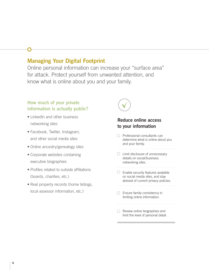# **Managing Your Digital Footprint**

Online personal information can increase your "surface area" for attack. Protect yourself from unwanted attention, and know what is online about you and your family.

# **How much of your private information is actually public?**

- LinkedIn and other business networking sites
- Facebook, Twitter, Instagram, and other social media sites
- Online ancestry/genealogy sites
- Corporate websites containing executive biographies
- Profiles related to outside affiliations (boards, charities, etc.)
- Real property records (home listings, local assessor information, etc.)



# **Reduce online access to your information**

- $\Box$  Professional consultants can determine what is online about you and your family.
- $\Box$  Limit disclosure of unnecessary details on social/business networking sites.
- $\Box$  Enable security features available on social media sites, and stay abreast of current privacy policies.
- $\Box$  Ensure family consistency in limiting online information.
- Review online biographies and limit the level of personal detail.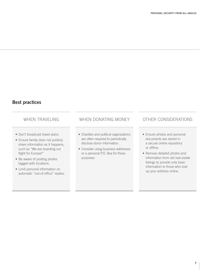# **Best practices**

- Don't broadcast travel plans.
- Ensure family does not publicly share information as it happens, such as "We are boarding our flight for Europe!"
- Be aware of posting photos tagged with locations.
- Limit personal information on automatic "out-of-office" replies.

# WHEN TRAVELING WHEN DONATING MONEY OTHER CONSIDERATIONS

- Charities and political organizations are often required to periodically disclose donor information.
- Consider using business addresses or a personal P.O. Box for these purposes.

- Ensure photos and personal documents are stored in a secure online repository or offline.
- Remove detailed photos and information from old real estate listings to provide only basic information to those who look up your address online.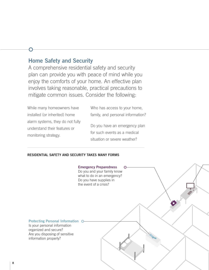# **Home Safety and Security**

A comprehensive residential safety and security plan can provide you with peace of mind while you enjoy the comforts of your home. An effective plan involves taking reasonable, practical precautions to mitigate common issues. Consider the following:

While many homeowners have installed (or inherited) home alarm systems, they do not fully understand their features or monitoring strategy.

Who has access to your home, family, and personal information?

Do you have an emergency plan for such events as a medical situation or severe weather?

#### **RESIDENTIAL SAFETY AND SECURITY TAKES MANY FORMS**

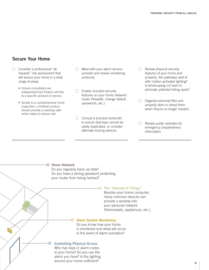# **Secure Your Home**

- $\Box$  Consider a professional "all hazards" risk assessment that will assess your home in a wide range of areas.
	- Ensure consultants are independent fact finders not tied to a specific product or service.
	- Similar to a comprehensive home inspection, a finished product should provide a roadmap with action steps to reduce risk.
- $\Box$ Meet with your alarm service provider and review monitoring protocols.
- $\Box$  Enable included security features on your home network/ router (firewalls, change default passwords, etc.).
- $\Box$  Consult a licensed locksmith to ensure that keys cannot be easily duplicated, or consider alternate locking devices.
- $\Box$  Review physical security features of your home and property. Are pathways well lit with motion-activated lighting? Is landscaping cut back to eliminate potential hiding spots?
- Organize personal files and П. properly store or shred them when they're no longer needed.
- $\Box$  Review public websites for emergency preparedness information.

# **Home Network** Do you regularly back up data? Do you have a strong password protecting your router from being hacked? **The "Internet of Things"** Besides your home computer, many common devices can provide a window into your personal network (thermostats, appliances, etc.).

# **Alarm System Monitoring**

Do you know how your home is monitored and what will occur in the event of alarm activation?

#### **Controlling Physical Access**

Who has keys or alarm codes to your home? Do you use the alarm you have? Is the lighting around your home sufficient?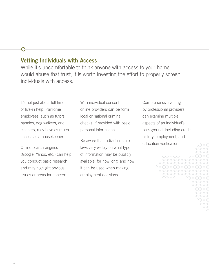# **Vetting Individuals with Access**

While it's uncomfortable to think anyone with access to your home would abuse that trust, it is worth investing the effort to properly screen individuals with access.

It's not just about full-time or live-in help. Part-time employees, such as tutors, nannies, dog walkers, and cleaners, may have as much access as a housekeeper.

 $\bigcirc$ 

Online search engines (Google, Yahoo, etc.) can help you conduct basic research and may highlight obvious issues or areas for concern.

With individual consent, online providers can perform local or national criminal checks, if provided with basic personal information.

Be aware that individual state laws vary widely on what type of information may be publicly available, for how long, and how it can be used when making employment decisions.

Comprehensive vetting by professional providers can examine multiple aspects of an individual's background, including credit history, employment, and education verification.

**10**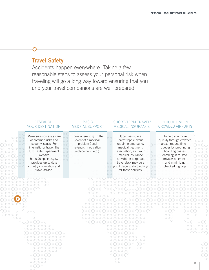# **Travel Safety**

Accidents happen everywhere. Taking a few reasonable steps to assess your personal risk when traveling will go a long way toward ensuring that you and your travel companions are well prepared.

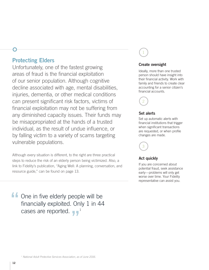# **Protecting Elders**

Unfortunately, one of the fastest growing areas of fraud is the financial exploitation of our senior population. Although cognitive decline associated with age, mental disabilities, injuries, dementia, or other medical conditions can present significant risk factors, victims of financial exploitation may not be suffering from any diminished capacity issues. Their funds may be misappropriated at the hands of a trusted individual, as the result of undue influence, or by falling victim to a variety of scams targeting vulnerable populations.

Although every situation is different, to the right are three practical steps to reduce the risk of an elderly person being victimized. Also, a link to Fidelity's publication, "Aging Well: A planning, conversation, and resource guide," can be found on page 13.

**f** One in five elderly people will be financially exploited. Only 1 in 44 cases are reported.

# 1

### **Create oversight**

Ideally, more than one trusted person should have insight into their financial activity. Work with family and friends to create clear accounting for a senior citizen's financial accounts.



#### **Set alerts**

Set up automatic alerts with financial institutions that trigger when significant transactions are requested, or when profile changes are made.



## **Act quickly**

If you are concerned about potential fraud, seek assistance early—problems will only get worse over time. Your Fidelity representative can assist you.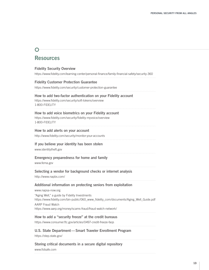# $\overline{O}$ **Resources**

| <b>Fidelity Security Overview</b><br>https://www.fidelity.com/learning-center/personal-finance/family-financial-safety/security-360                                                                                                                                                                                       |
|---------------------------------------------------------------------------------------------------------------------------------------------------------------------------------------------------------------------------------------------------------------------------------------------------------------------------|
| <b>Fidelity Customer Protection Guarantee</b><br>https://www.fidelity.com/security/customer-protection-guarantee                                                                                                                                                                                                          |
| How to add two-factor authentication on your Fidelity account<br>https://www.fidelity.com/security/soft-tokens/overview<br>1-800-FIDELITY                                                                                                                                                                                 |
| How to add voice biometrics on your Fidelity account<br>https://www.fidelity.com/security/fidelity-myvoice/overview<br>1-800-FIDELITY                                                                                                                                                                                     |
| How to add alerts on your account<br>http://www.fidelity.com/security/monitor-your-accounts                                                                                                                                                                                                                               |
| If you believe your identity has been stolen<br>www.identitytheft.gov                                                                                                                                                                                                                                                     |
| <b>Emergency preparedness for home and family</b><br>www.fema.gov                                                                                                                                                                                                                                                         |
| Selecting a vendor for background checks or internet analysis<br>http://www.napbs.com/                                                                                                                                                                                                                                    |
| Additional information on protecting seniors from exploitation<br>www.napsa-now.org<br>"Aging Well," a guide by Fidelity Investments<br>https://www.fidelity.com/bin-public/060_www_fidelity_com/documents/Aging_Well_Guide.pdf<br><b>AARP Fraud Watch</b><br>https://www.aarp.org/money/scams-fraud/fraud-watch-network/ |
| How to add a "security freeze" at the credit bureaus<br>https://www.consumer.ftc.gov/articles/0497-credit-freeze-faqs                                                                                                                                                                                                     |
| U.S. State Department-Smart Traveler Enrollment Program<br>https://step.state.gov/                                                                                                                                                                                                                                        |
| Storing critical documents in a secure digital repository<br>www.fidsafe.com                                                                                                                                                                                                                                              |